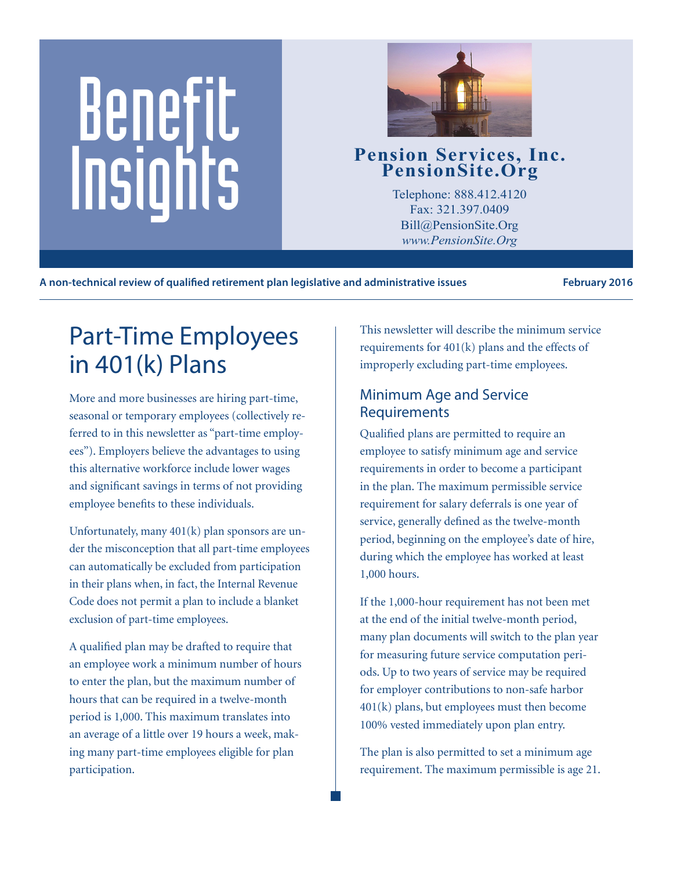# Benefit Pension Services, Inc.<br>
PensionSite.Org<br>
Telephone: 888.412.4120<br>
Fax: 321.397.0409<br>
Pill@BensionSite.Org<br>
Pill@BensionSite.Org



Telephone: 888.412.4120 Fax: 321.397.0409 Bill@PensionSite.Org *www.PensionSite.Org*

**A non-technical review of qualified retirement plan legislative and administrative issues February 2016**

# Part-Time Employees in 401(k) Plans

More and more businesses are hiring part-time, seasonal or temporary employees (collectively referred to in this newsletter as "part-time employees"). Employers believe the advantages to using this alternative workforce include lower wages and significant savings in terms of not providing employee benefits to these individuals.

Unfortunately, many 401(k) plan sponsors are under the misconception that all part-time employees can automatically be excluded from participation in their plans when, in fact, the Internal Revenue Code does not permit a plan to include a blanket exclusion of part-time employees.

A qualified plan may be drafted to require that an employee work a minimum number of hours to enter the plan, but the maximum number of hours that can be required in a twelve-month period is 1,000. This maximum translates into an average of a little over 19 hours a week, making many part-time employees eligible for plan participation.

This newsletter will describe the minimum service requirements for 401(k) plans and the effects of improperly excluding part-time employees.

#### Minimum Age and Service Requirements

Qualified plans are permitted to require an employee to satisfy minimum age and service requirements in order to become a participant in the plan. The maximum permissible service requirement for salary deferrals is one year of service, generally defined as the twelve-month period, beginning on the employee's date of hire, during which the employee has worked at least 1,000 hours.

If the 1,000-hour requirement has not been met at the end of the initial twelve-month period, many plan documents will switch to the plan year for measuring future service computation periods. Up to two years of service may be required for employer contributions to non-safe harbor 401(k) plans, but employees must then become 100% vested immediately upon plan entry.

The plan is also permitted to set a minimum age requirement. The maximum permissible is age 21.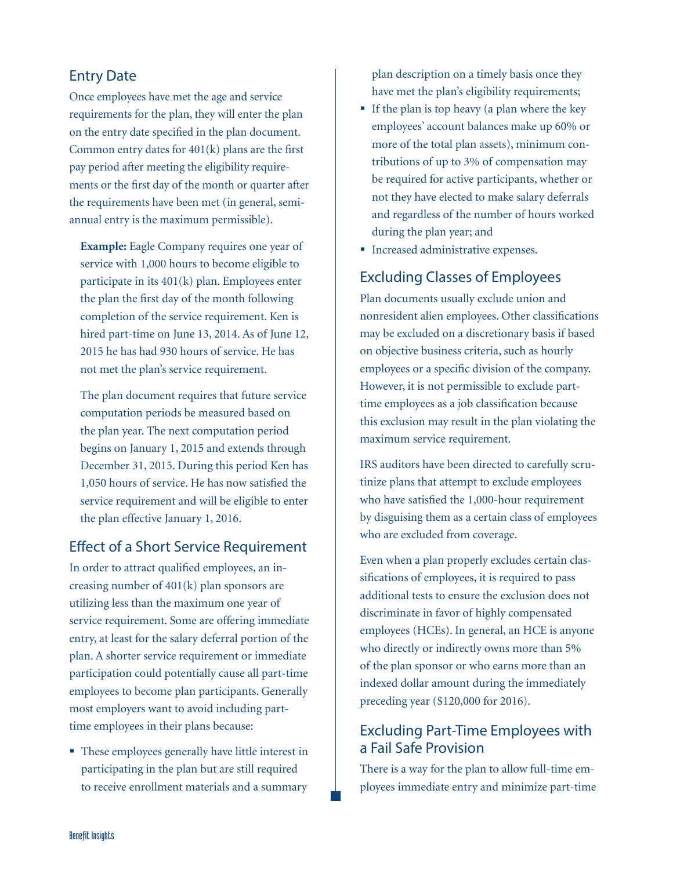#### Entry Date

Once employees have met the age and service requirements for the plan, they will enter the plan on the entry date specified in the plan document. Common entry dates for 401(k) plans are the first pay period after meeting the eligibility requirements or the first day of the month or quarter after the requirements have been met (in general, semiannual entry is the maximum permissible).

**Example:** Eagle Company requires one year of service with 1,000 hours to become eligible to participate in its 401(k) plan. Employees enter the plan the first day of the month following completion of the service requirement. Ken is hired part-time on June 13, 2014. As of June 12, 2015 he has had 930 hours of service. He has not met the plan's service requirement.

The plan document requires that future service computation periods be measured based on the plan year. The next computation period begins on January 1, 2015 and extends through December 31, 2015. During this period Ken has 1,050 hours of service. He has now satisfied the service requirement and will be eligible to enter the plan effective January 1, 2016.

#### Effect of a Short Service Requirement

In order to attract qualified employees, an increasing number of 401(k) plan sponsors are utilizing less than the maximum one year of service requirement. Some are offering immediate entry, at least for the salary deferral portion of the plan. A shorter service requirement or immediate participation could potentially cause all part-time employees to become plan participants. Generally most employers want to avoid including parttime employees in their plans because:

• These employees generally have little interest in participating in the plan but are still required to receive enrollment materials and a summary

plan description on a timely basis once they have met the plan's eligibility requirements;

- If the plan is top heavy (a plan where the key employees' account balances make up 60% or more of the total plan assets), minimum contributions of up to 3% of compensation may be required for active participants, whether or not they have elected to make salary deferrals and regardless of the number of hours worked during the plan year; and
- **Increased administrative expenses.**

### Excluding Classes of Employees

Plan documents usually exclude union and nonresident alien employees. Other classifications may be excluded on a discretionary basis if based on objective business criteria, such as hourly employees or a specific division of the company. However, it is not permissible to exclude parttime employees as a job classification because this exclusion may result in the plan violating the maximum service requirement.

IRS auditors have been directed to carefully scrutinize plans that attempt to exclude employees who have satisfied the 1,000-hour requirement by disguising them as a certain class of employees who are excluded from coverage.

Even when a plan properly excludes certain classifications of employees, it is required to pass additional tests to ensure the exclusion does not discriminate in favor of highly compensated employees (HCEs). In general, an HCE is anyone who directly or indirectly owns more than 5% of the plan sponsor or who earns more than an indexed dollar amount during the immediately preceding year (\$120,000 for 2016).

#### Excluding Part-Time Employees with a Fail Safe Provision

There is a way for the plan to allow full-time employees immediate entry and minimize part-time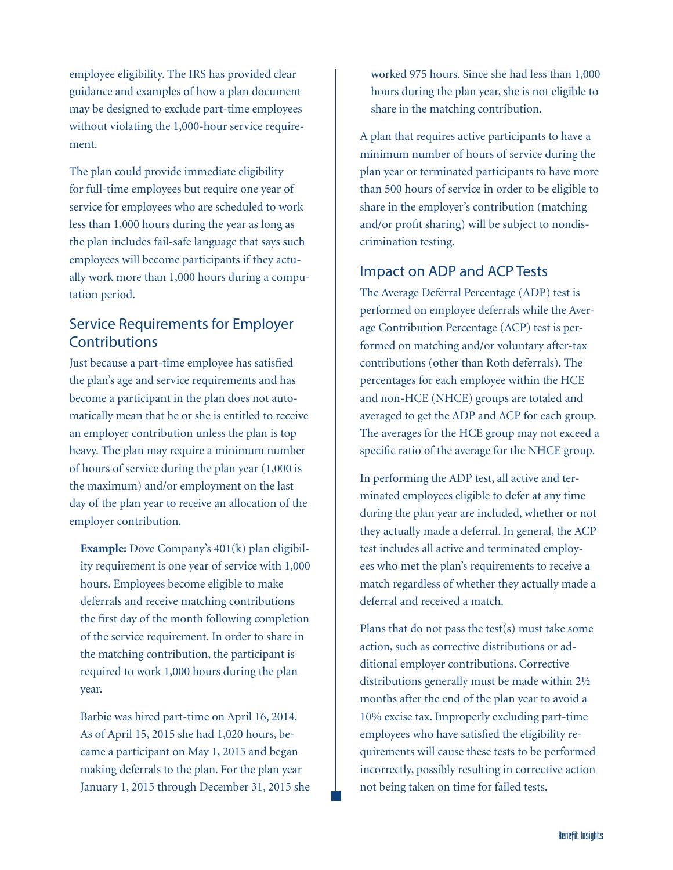employee eligibility. The IRS has provided clear guidance and examples of how a plan document may be designed to exclude part-time employees without violating the 1,000-hour service requirement.

The plan could provide immediate eligibility for full-time employees but require one year of service for employees who are scheduled to work less than 1,000 hours during the year as long as the plan includes fail-safe language that says such employees will become participants if they actually work more than 1,000 hours during a computation period.

#### Service Requirements for Employer **Contributions**

Just because a part-time employee has satisfied the plan's age and service requirements and has become a participant in the plan does not automatically mean that he or she is entitled to receive an employer contribution unless the plan is top heavy. The plan may require a minimum number of hours of service during the plan year (1,000 is the maximum) and/or employment on the last day of the plan year to receive an allocation of the employer contribution.

**Example:** Dove Company's 401(k) plan eligibility requirement is one year of service with 1,000 hours. Employees become eligible to make deferrals and receive matching contributions the first day of the month following completion of the service requirement. In order to share in the matching contribution, the participant is required to work 1,000 hours during the plan year.

Barbie was hired part-time on April 16, 2014. As of April 15, 2015 she had 1,020 hours, became a participant on May 1, 2015 and began making deferrals to the plan. For the plan year January 1, 2015 through December 31, 2015 she worked 975 hours. Since she had less than 1,000 hours during the plan year, she is not eligible to share in the matching contribution.

A plan that requires active participants to have a minimum number of hours of service during the plan year or terminated participants to have more than 500 hours of service in order to be eligible to share in the employer's contribution (matching and/or profit sharing) will be subject to nondiscrimination testing.

#### Impact on ADP and ACP Tests

The Average Deferral Percentage (ADP) test is performed on employee deferrals while the Average Contribution Percentage (ACP) test is performed on matching and/or voluntary after-tax contributions (other than Roth deferrals). The percentages for each employee within the HCE and non-HCE (NHCE) groups are totaled and averaged to get the ADP and ACP for each group. The averages for the HCE group may not exceed a specific ratio of the average for the NHCE group.

In performing the ADP test, all active and terminated employees eligible to defer at any time during the plan year are included, whether or not they actually made a deferral. In general, the ACP test includes all active and terminated employees who met the plan's requirements to receive a match regardless of whether they actually made a deferral and received a match.

Plans that do not pass the test(s) must take some action, such as corrective distributions or additional employer contributions. Corrective distributions generally must be made within 2½ months after the end of the plan year to avoid a 10% excise tax. Improperly excluding part-time employees who have satisfied the eligibility requirements will cause these tests to be performed incorrectly, possibly resulting in corrective action not being taken on time for failed tests.